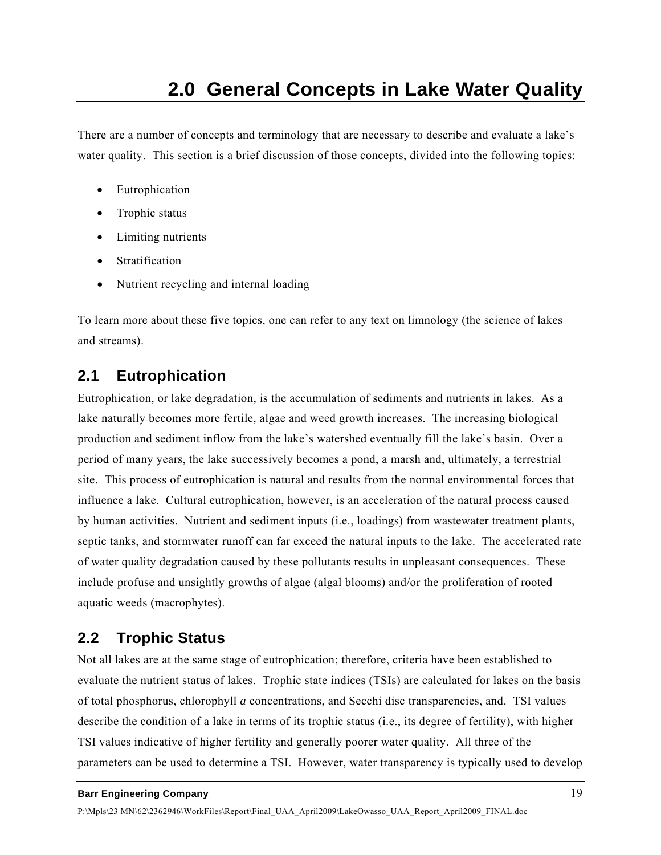There are a number of concepts and terminology that are necessary to describe and evaluate a lake's water quality. This section is a brief discussion of those concepts, divided into the following topics:

- Eutrophication
- Trophic status
- Limiting nutrients
- Stratification
- Nutrient recycling and internal loading

To learn more about these five topics, one can refer to any text on limnology (the science of lakes and streams).

# **2.1 Eutrophication**

Eutrophication, or lake degradation, is the accumulation of sediments and nutrients in lakes. As a lake naturally becomes more fertile, algae and weed growth increases. The increasing biological production and sediment inflow from the lake's watershed eventually fill the lake's basin. Over a period of many years, the lake successively becomes a pond, a marsh and, ultimately, a terrestrial site. This process of eutrophication is natural and results from the normal environmental forces that influence a lake. Cultural eutrophication, however, is an acceleration of the natural process caused by human activities. Nutrient and sediment inputs (i.e., loadings) from wastewater treatment plants, septic tanks, and stormwater runoff can far exceed the natural inputs to the lake. The accelerated rate of water quality degradation caused by these pollutants results in unpleasant consequences. These include profuse and unsightly growths of algae (algal blooms) and/or the proliferation of rooted aquatic weeds (macrophytes).

# **2.2 Trophic Status**

Not all lakes are at the same stage of eutrophication; therefore, criteria have been established to evaluate the nutrient status of lakes. Trophic state indices (TSIs) are calculated for lakes on the basis of total phosphorus, chlorophyll *a* concentrations, and Secchi disc transparencies, and. TSI values describe the condition of a lake in terms of its trophic status (i.e., its degree of fertility), with higher TSI values indicative of higher fertility and generally poorer water quality. All three of the parameters can be used to determine a TSI. However, water transparency is typically used to develop

### **Barr Engineering Company** 19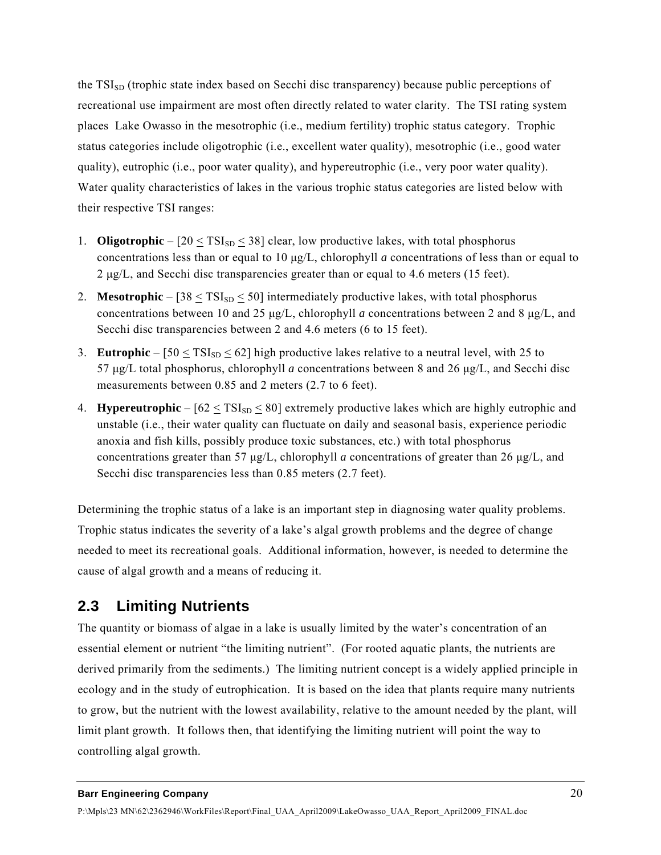the  $TSI<sub>SD</sub>$  (trophic state index based on Secchi disc transparency) because public perceptions of recreational use impairment are most often directly related to water clarity. The TSI rating system places Lake Owasso in the mesotrophic (i.e., medium fertility) trophic status category. Trophic status categories include oligotrophic (i.e., excellent water quality), mesotrophic (i.e., good water quality), eutrophic (i.e., poor water quality), and hypereutrophic (i.e., very poor water quality). Water quality characteristics of lakes in the various trophic status categories are listed below with their respective TSI ranges:

- 1. **Oligotrophic**  $[20 \leq TSI_{SD} \leq 38]$  clear, low productive lakes, with total phosphorus concentrations less than or equal to 10 μg/L, chlorophyll *a* concentrations of less than or equal to 2 μg/L, and Secchi disc transparencies greater than or equal to 4.6 meters (15 feet).
- 2. **Mesotrophic**  $[38 \leq TSI_{SD} \leq 50]$  intermediately productive lakes, with total phosphorus concentrations between 10 and 25 μg/L, chlorophyll *a* concentrations between 2 and 8 μg/L, and Secchi disc transparencies between 2 and 4.6 meters (6 to 15 feet).
- 3. **Eutrophic**  $[50 \leq TSI_{SD} \leq 62]$  high productive lakes relative to a neutral level, with 25 to 57 μg/L total phosphorus, chlorophyll *a* concentrations between 8 and 26 μg/L, and Secchi disc measurements between 0.85 and 2 meters (2.7 to 6 feet).
- 4. **Hypereutrophic**  $[62 \leq TSI_{SD} \leq 80]$  extremely productive lakes which are highly eutrophic and unstable (i.e., their water quality can fluctuate on daily and seasonal basis, experience periodic anoxia and fish kills, possibly produce toxic substances, etc.) with total phosphorus concentrations greater than 57 μg/L, chlorophyll *a* concentrations of greater than 26 μg/L, and Secchi disc transparencies less than 0.85 meters (2.7 feet).

Determining the trophic status of a lake is an important step in diagnosing water quality problems. Trophic status indicates the severity of a lake's algal growth problems and the degree of change needed to meet its recreational goals. Additional information, however, is needed to determine the cause of algal growth and a means of reducing it.

# **2.3 Limiting Nutrients**

The quantity or biomass of algae in a lake is usually limited by the water's concentration of an essential element or nutrient "the limiting nutrient". (For rooted aquatic plants, the nutrients are derived primarily from the sediments.) The limiting nutrient concept is a widely applied principle in ecology and in the study of eutrophication. It is based on the idea that plants require many nutrients to grow, but the nutrient with the lowest availability, relative to the amount needed by the plant, will limit plant growth. It follows then, that identifying the limiting nutrient will point the way to controlling algal growth.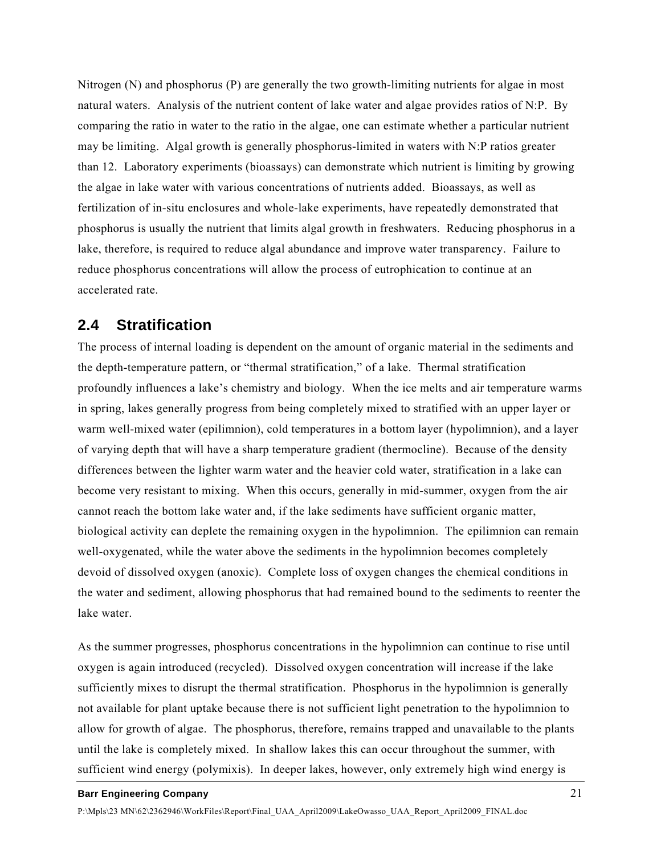Nitrogen (N) and phosphorus (P) are generally the two growth-limiting nutrients for algae in most natural waters. Analysis of the nutrient content of lake water and algae provides ratios of N:P. By comparing the ratio in water to the ratio in the algae, one can estimate whether a particular nutrient may be limiting. Algal growth is generally phosphorus-limited in waters with N:P ratios greater than 12. Laboratory experiments (bioassays) can demonstrate which nutrient is limiting by growing the algae in lake water with various concentrations of nutrients added. Bioassays, as well as fertilization of in-situ enclosures and whole-lake experiments, have repeatedly demonstrated that phosphorus is usually the nutrient that limits algal growth in freshwaters. Reducing phosphorus in a lake, therefore, is required to reduce algal abundance and improve water transparency. Failure to reduce phosphorus concentrations will allow the process of eutrophication to continue at an accelerated rate.

## **2.4 Stratification**

The process of internal loading is dependent on the amount of organic material in the sediments and the depth-temperature pattern, or "thermal stratification," of a lake. Thermal stratification profoundly influences a lake's chemistry and biology. When the ice melts and air temperature warms in spring, lakes generally progress from being completely mixed to stratified with an upper layer or warm well-mixed water (epilimnion), cold temperatures in a bottom layer (hypolimnion), and a layer of varying depth that will have a sharp temperature gradient (thermocline). Because of the density differences between the lighter warm water and the heavier cold water, stratification in a lake can become very resistant to mixing. When this occurs, generally in mid-summer, oxygen from the air cannot reach the bottom lake water and, if the lake sediments have sufficient organic matter, biological activity can deplete the remaining oxygen in the hypolimnion. The epilimnion can remain well-oxygenated, while the water above the sediments in the hypolimnion becomes completely devoid of dissolved oxygen (anoxic). Complete loss of oxygen changes the chemical conditions in the water and sediment, allowing phosphorus that had remained bound to the sediments to reenter the lake water.

As the summer progresses, phosphorus concentrations in the hypolimnion can continue to rise until oxygen is again introduced (recycled). Dissolved oxygen concentration will increase if the lake sufficiently mixes to disrupt the thermal stratification. Phosphorus in the hypolimnion is generally not available for plant uptake because there is not sufficient light penetration to the hypolimnion to allow for growth of algae. The phosphorus, therefore, remains trapped and unavailable to the plants until the lake is completely mixed. In shallow lakes this can occur throughout the summer, with sufficient wind energy (polymixis). In deeper lakes, however, only extremely high wind energy is

## **Barr Engineering Company** 21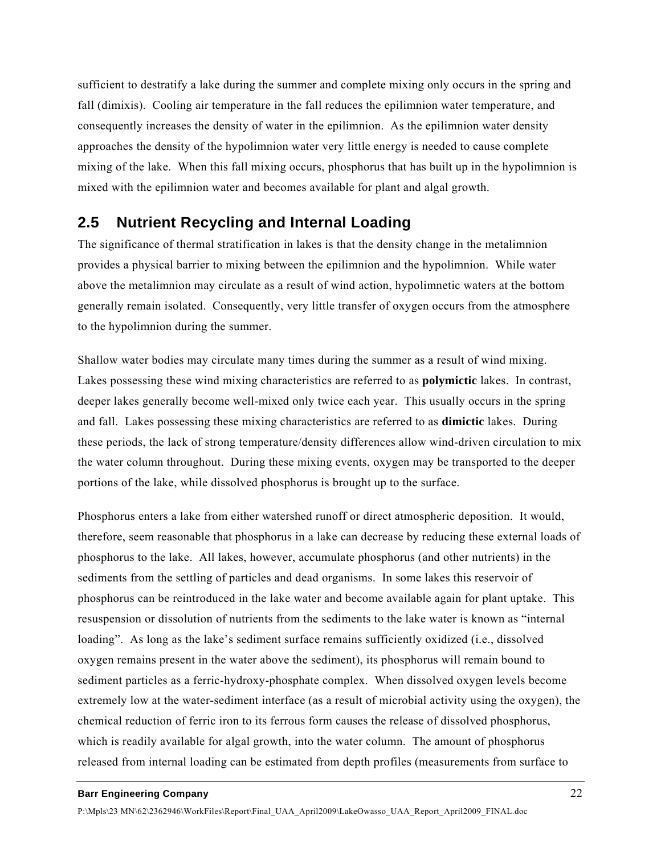sufficient to destratify a lake during the summer and complete mixing only occurs in the spring and fall (dimixis). Cooling air temperature in the fall reduces the epilimnion water temperature, and consequently increases the density of water in the epilimnion. As the epilimnion water density approaches the density of the hypolimnion water very little energy is needed to cause complete mixing of the lake. When this fall mixing occurs, phosphorus that has built up in the hypolimnion is mixed with the epilimnion water and becomes available for plant and algal growth.

## **2.5 Nutrient Recycling and Internal Loading**

The significance of thermal stratification in lakes is that the density change in the metalimnion provides a physical barrier to mixing between the epilimnion and the hypolimnion. While water above the metalimnion may circulate as a result of wind action, hypolimnetic waters at the bottom generally remain isolated. Consequently, very little transfer of oxygen occurs from the atmosphere to the hypolimnion during the summer.

Shallow water bodies may circulate many times during the summer as a result of wind mixing. Lakes possessing these wind mixing characteristics are referred to as **polymictic** lakes. In contrast, deeper lakes generally become well-mixed only twice each year. This usually occurs in the spring and fall. Lakes possessing these mixing characteristics are referred to as **dimictic** lakes. During these periods, the lack of strong temperature/density differences allow wind-driven circulation to mix the water column throughout. During these mixing events, oxygen may be transported to the deeper portions of the lake, while dissolved phosphorus is brought up to the surface.

Phosphorus enters a lake from either watershed runoff or direct atmospheric deposition. It would, therefore, seem reasonable that phosphorus in a lake can decrease by reducing these external loads of phosphorus to the lake. All lakes, however, accumulate phosphorus (and other nutrients) in the sediments from the settling of particles and dead organisms. In some lakes this reservoir of phosphorus can be reintroduced in the lake water and become available again for plant uptake. This resuspension or dissolution of nutrients from the sediments to the lake water is known as "internal loading". As long as the lake's sediment surface remains sufficiently oxidized (i.e., dissolved oxygen remains present in the water above the sediment), its phosphorus will remain bound to sediment particles as a ferric-hydroxy-phosphate complex. When dissolved oxygen levels become extremely low at the water-sediment interface (as a result of microbial activity using the oxygen), the chemical reduction of ferric iron to its ferrous form causes the release of dissolved phosphorus, which is readily available for algal growth, into the water column. The amount of phosphorus released from internal loading can be estimated from depth profiles (measurements from surface to

### **Barr Engineering Company** 22